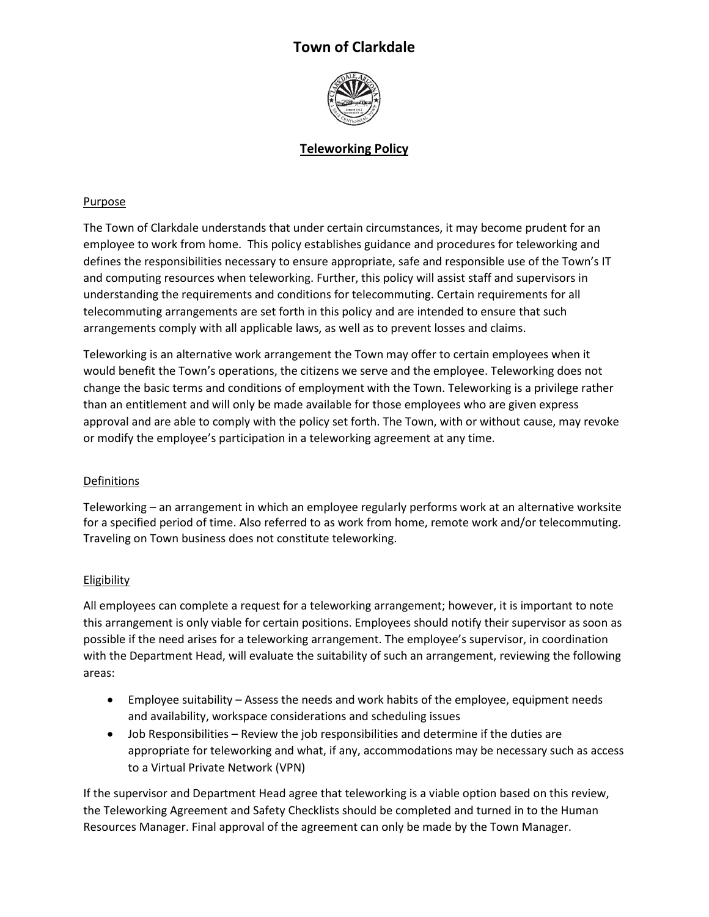# **Town of Clarkdale**



# **Teleworking Policy**

## Purpose

The Town of Clarkdale understands that under certain circumstances, it may become prudent for an employee to work from home. This policy establishes guidance and procedures for teleworking and defines the responsibilities necessary to ensure appropriate, safe and responsible use of the Town's IT and computing resources when teleworking. Further, this policy will assist staff and supervisors in understanding the requirements and conditions for telecommuting. Certain requirements for all telecommuting arrangements are set forth in this policy and are intended to ensure that such arrangements comply with all applicable laws, as well as to prevent losses and claims.

Teleworking is an alternative work arrangement the Town may offer to certain employees when it would benefit the Town's operations, the citizens we serve and the employee. Teleworking does not change the basic terms and conditions of employment with the Town. Teleworking is a privilege rather than an entitlement and will only be made available for those employees who are given express approval and are able to comply with the policy set forth. The Town, with or without cause, may revoke or modify the employee's participation in a teleworking agreement at any time.

#### **Definitions**

Teleworking – an arrangement in which an employee regularly performs work at an alternative worksite for a specified period of time. Also referred to as work from home, remote work and/or telecommuting. Traveling on Town business does not constitute teleworking.

## Eligibility

All employees can complete a request for a teleworking arrangement; however, it is important to note this arrangement is only viable for certain positions. Employees should notify their supervisor as soon as possible if the need arises for a teleworking arrangement. The employee's supervisor, in coordination with the Department Head, will evaluate the suitability of such an arrangement, reviewing the following areas:

- Employee suitability Assess the needs and work habits of the employee, equipment needs and availability, workspace considerations and scheduling issues
- Job Responsibilities Review the job responsibilities and determine if the duties are appropriate for teleworking and what, if any, accommodations may be necessary such as access to a Virtual Private Network (VPN)

If the supervisor and Department Head agree that teleworking is a viable option based on this review, the Teleworking Agreement and Safety Checklists should be completed and turned in to the Human Resources Manager. Final approval of the agreement can only be made by the Town Manager.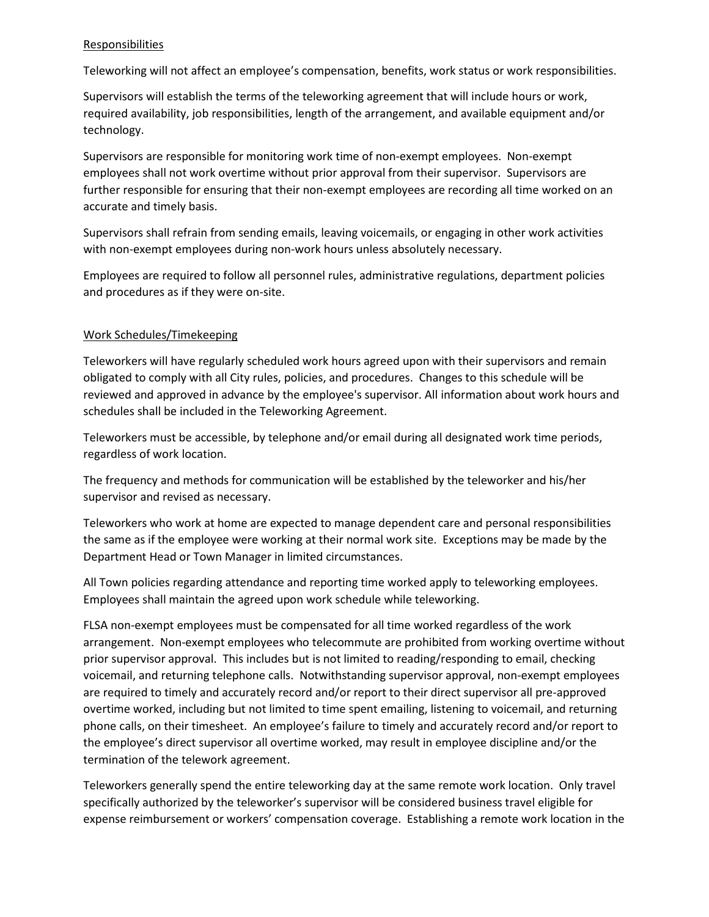#### **Responsibilities**

Teleworking will not affect an employee's compensation, benefits, work status or work responsibilities.

Supervisors will establish the terms of the teleworking agreement that will include hours or work, required availability, job responsibilities, length of the arrangement, and available equipment and/or technology.

Supervisors are responsible for monitoring work time of non-exempt employees. Non-exempt employees shall not work overtime without prior approval from their supervisor. Supervisors are further responsible for ensuring that their non-exempt employees are recording all time worked on an accurate and timely basis.

Supervisors shall refrain from sending emails, leaving voicemails, or engaging in other work activities with non-exempt employees during non-work hours unless absolutely necessary.

Employees are required to follow all personnel rules, administrative regulations, department policies and procedures as if they were on-site.

#### Work Schedules/Timekeeping

Teleworkers will have regularly scheduled work hours agreed upon with their supervisors and remain obligated to comply with all City rules, policies, and procedures. Changes to this schedule will be reviewed and approved in advance by the employee's supervisor. All information about work hours and schedules shall be included in the Teleworking Agreement.

Teleworkers must be accessible, by telephone and/or email during all designated work time periods, regardless of work location.

The frequency and methods for communication will be established by the teleworker and his/her supervisor and revised as necessary.

Teleworkers who work at home are expected to manage dependent care and personal responsibilities the same as if the employee were working at their normal work site. Exceptions may be made by the Department Head or Town Manager in limited circumstances.

All Town policies regarding attendance and reporting time worked apply to teleworking employees. Employees shall maintain the agreed upon work schedule while teleworking.

FLSA non-exempt employees must be compensated for all time worked regardless of the work arrangement. Non-exempt employees who telecommute are prohibited from working overtime without prior supervisor approval. This includes but is not limited to reading/responding to email, checking voicemail, and returning telephone calls. Notwithstanding supervisor approval, non-exempt employees are required to timely and accurately record and/or report to their direct supervisor all pre-approved overtime worked, including but not limited to time spent emailing, listening to voicemail, and returning phone calls, on their timesheet. An employee's failure to timely and accurately record and/or report to the employee's direct supervisor all overtime worked, may result in employee discipline and/or the termination of the telework agreement.

Teleworkers generally spend the entire teleworking day at the same remote work location. Only travel specifically authorized by the teleworker's supervisor will be considered business travel eligible for expense reimbursement or workers' compensation coverage. Establishing a remote work location in the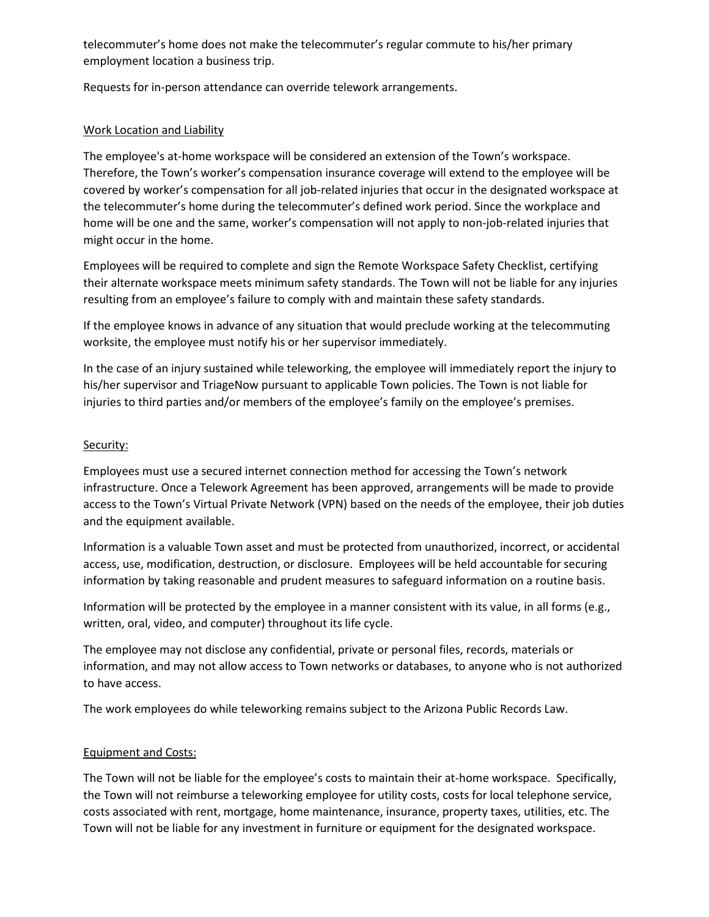telecommuter's home does not make the telecommuter's regular commute to his/her primary employment location a business trip.

Requests for in-person attendance can override telework arrangements.

## Work Location and Liability

The employee's at-home workspace will be considered an extension of the Town's workspace. Therefore, the Town's worker's compensation insurance coverage will extend to the employee will be covered by worker's compensation for all job-related injuries that occur in the designated workspace at the telecommuter's home during the telecommuter's defined work period. Since the workplace and home will be one and the same, worker's compensation will not apply to non-job-related injuries that might occur in the home.

Employees will be required to complete and sign the Remote Workspace Safety Checklist, certifying their alternate workspace meets minimum safety standards. The Town will not be liable for any injuries resulting from an employee's failure to comply with and maintain these safety standards.

If the employee knows in advance of any situation that would preclude working at the telecommuting worksite, the employee must notify his or her supervisor immediately.

In the case of an injury sustained while teleworking, the employee will immediately report the injury to his/her supervisor and TriageNow pursuant to applicable Town policies. The Town is not liable for injuries to third parties and/or members of the employee's family on the employee's premises.

#### Security:

Employees must use a secured internet connection method for accessing the Town's network infrastructure. Once a Telework Agreement has been approved, arrangements will be made to provide access to the Town's Virtual Private Network (VPN) based on the needs of the employee, their job duties and the equipment available.

Information is a valuable Town asset and must be protected from unauthorized, incorrect, or accidental access, use, modification, destruction, or disclosure. Employees will be held accountable for securing information by taking reasonable and prudent measures to safeguard information on a routine basis.

Information will be protected by the employee in a manner consistent with its value, in all forms (e.g., written, oral, video, and computer) throughout its life cycle.

The employee may not disclose any confidential, private or personal files, records, materials or information, and may not allow access to Town networks or databases, to anyone who is not authorized to have access.

The work employees do while teleworking remains subject to the Arizona Public Records Law.

## Equipment and Costs:

The Town will not be liable for the employee's costs to maintain their at-home workspace. Specifically, the Town will not reimburse a teleworking employee for utility costs, costs for local telephone service, costs associated with rent, mortgage, home maintenance, insurance, property taxes, utilities, etc. The Town will not be liable for any investment in furniture or equipment for the designated workspace.